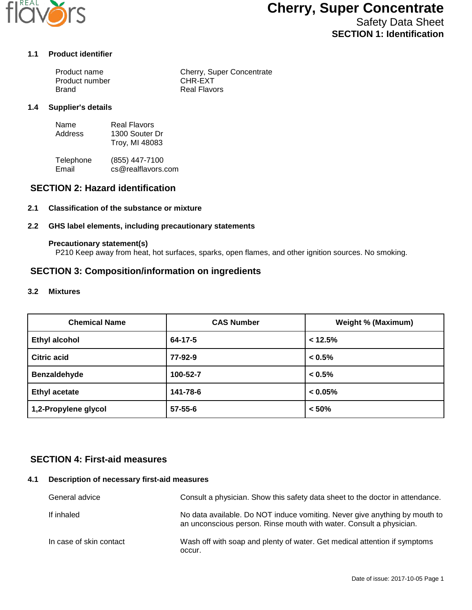

# **Cherry, Super Concentrate**

Safety Data Sheet **SECTION 1: Identification**

#### **1.1 Product identifier**

| Product name   | Cherry, Super Concentrate |
|----------------|---------------------------|
| Product number | CHR-EXT                   |
| Brand          | <b>Real Flavors</b>       |

#### **1.4 Supplier's details**

| Name    | Real Flavors   |
|---------|----------------|
| Address | 1300 Souter Dr |
|         | Troy, MI 48083 |

Telephone (855) 447-7100<br>Email cs@realflavors. cs@realflavors.com

## **SECTION 2: Hazard identification**

#### **2.1 Classification of the substance or mixture**

#### **2.2 GHS label elements, including precautionary statements**

#### **Precautionary statement(s)**

P210 Keep away from heat, hot surfaces, sparks, open flames, and other ignition sources. No smoking.

## **SECTION 3: Composition/information on ingredients**

#### **3.2 Mixtures**

| <b>Chemical Name</b> | <b>CAS Number</b> | <b>Weight % (Maximum)</b> |
|----------------------|-------------------|---------------------------|
| <b>Ethyl alcohol</b> | 64-17-5           | < 12.5%                   |
| Citric acid          | 77-92-9           | $< 0.5\%$                 |
| Benzaldehyde         | 100-52-7          | $< 0.5\%$                 |
| <b>Ethyl acetate</b> | 141-78-6          | $< 0.05\%$                |
| 1,2-Propylene glycol | $57 - 55 - 6$     | < 50%                     |

## **SECTION 4: First-aid measures**

#### **4.1 Description of necessary first-aid measures**

| General advice          | Consult a physician. Show this safety data sheet to the doctor in attendance.                                                                     |
|-------------------------|---------------------------------------------------------------------------------------------------------------------------------------------------|
| If inhaled              | No data available. Do NOT induce vomiting. Never give anything by mouth to<br>an unconscious person. Rinse mouth with water. Consult a physician. |
| In case of skin contact | Wash off with soap and plenty of water. Get medical attention if symptoms<br>occur.                                                               |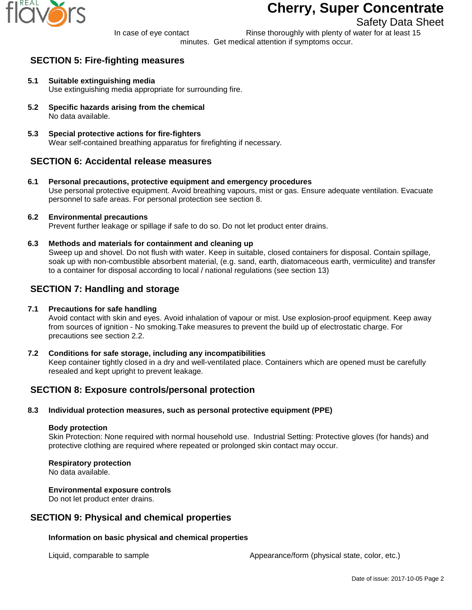

# **Cherry, Super Concentrate**

# Safety Data Sheet

In case of eye contact Rinse thoroughly with plenty of water for at least 15 minutes. Get medical attention if symptoms occur.

# **SECTION 5: Fire-fighting measures**

- **5.1 Suitable extinguishing media** Use extinguishing media appropriate for surrounding fire.
- **5.2 Specific hazards arising from the chemical** No data available.
- **5.3 Special protective actions for fire-fighters** Wear self-contained breathing apparatus for firefighting if necessary.

# **SECTION 6: Accidental release measures**

**6.1 Personal precautions, protective equipment and emergency procedures** Use personal protective equipment. Avoid breathing vapours, mist or gas. Ensure adequate ventilation. Evacuate personnel to safe areas. For personal protection see section 8.

## **6.2 Environmental precautions**

Prevent further leakage or spillage if safe to do so. Do not let product enter drains.

**6.3 Methods and materials for containment and cleaning up**

Sweep up and shovel. Do not flush with water. Keep in suitable, closed containers for disposal. Contain spillage, soak up with non-combustible absorbent material, (e.g. sand, earth, diatomaceous earth, vermiculite) and transfer to a container for disposal according to local / national regulations (see section 13)

## **SECTION 7: Handling and storage**

### **7.1 Precautions for safe handling**

Avoid contact with skin and eyes. Avoid inhalation of vapour or mist. Use explosion-proof equipment. Keep away from sources of ignition - No smoking.Take measures to prevent the build up of electrostatic charge. For precautions see section 2.2.

**7.2 Conditions for safe storage, including any incompatibilities** Keep container tightly closed in a dry and well-ventilated place. Containers which are opened must be carefully resealed and kept upright to prevent leakage.

# **SECTION 8: Exposure controls/personal protection**

## **8.3 Individual protection measures, such as personal protective equipment (PPE)**

#### **Body protection**

Skin Protection: None required with normal household use. Industrial Setting: Protective gloves (for hands) and protective clothing are required where repeated or prolonged skin contact may occur.

## **Respiratory protection**

No data available.

#### **Environmental exposure controls**

Do not let product enter drains.

## **SECTION 9: Physical and chemical properties**

## **Information on basic physical and chemical properties**

Liquid, comparable to sample  $\blacksquare$  Appearance/form (physical state, color, etc.)